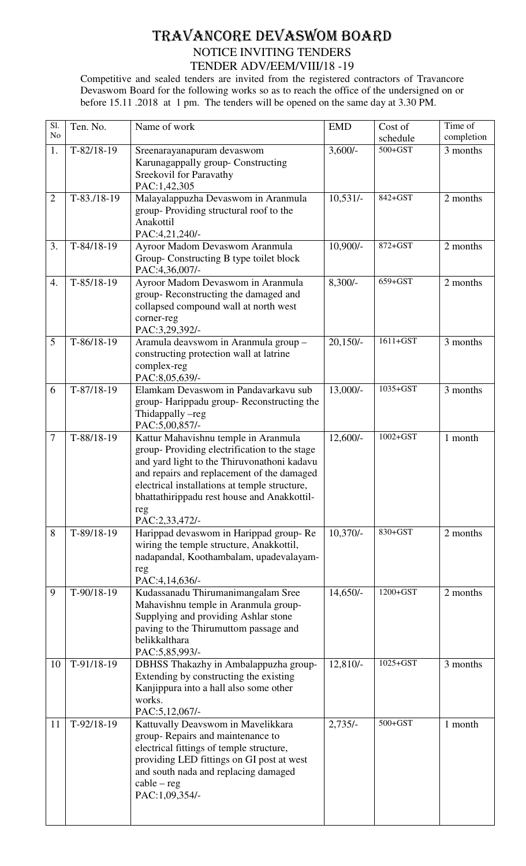## TRAVANCORE DEVASWOM BOARD NOTICE INVITING TENDERS TENDER ADV/EEM/VIII/18 -19

Competitive and sealed tenders are invited from the registered contractors of Travancore Devaswom Board for the following works so as to reach the office of the undersigned on or before 15.11 .2018 at 1 pm. The tenders will be opened on the same day at 3.30 PM.

| $\overline{SI}$ . | Ten. No.     | Name of work                                                                                | <b>EMD</b> | Cost of      | Time of    |
|-------------------|--------------|---------------------------------------------------------------------------------------------|------------|--------------|------------|
| N <sub>o</sub>    |              |                                                                                             |            | schedule     | completion |
| 1.                | $T-82/18-19$ | Sreenarayanapuram devaswom                                                                  | $3,600/-$  | $500 + GST$  | 3 months   |
|                   |              | Karunagappally group- Constructing                                                          |            |              |            |
|                   |              | Sreekovil for Paravathy                                                                     |            |              |            |
|                   |              | PAC:1,42,305                                                                                |            |              |            |
| $\overline{2}$    | $T-83.18-19$ | Malayalappuzha Devaswom in Aranmula                                                         | $10,531/-$ | 842+GST      | 2 months   |
|                   |              | group-Providing structural roof to the<br>Anakottil                                         |            |              |            |
|                   |              | PAC:4,21,240/-                                                                              |            |              |            |
| 3.                | $T-84/18-19$ | Ayroor Madom Devaswom Aranmula                                                              | $10,900/-$ | 872+GST      | 2 months   |
|                   |              | Group-Constructing B type toilet block                                                      |            |              |            |
|                   |              | PAC:4,36,007/-                                                                              |            |              |            |
| 4.                | $T-85/18-19$ | Ayroor Madom Devaswom in Aranmula                                                           | $8,300/-$  | 659+GST      | 2 months   |
|                   |              | group-Reconstructing the damaged and                                                        |            |              |            |
|                   |              | collapsed compound wall at north west                                                       |            |              |            |
|                   |              | corner-reg                                                                                  |            |              |            |
|                   |              | PAC:3,29,392/-                                                                              |            |              |            |
| 5                 | $T-86/18-19$ | Aramula deavswom in Aranmula group -                                                        | $20,150/-$ | $1611 + GST$ | 3 months   |
|                   |              | constructing protection wall at latrine<br>complex-reg                                      |            |              |            |
|                   |              | PAC:8,05,639/-                                                                              |            |              |            |
| 6                 | $T-87/18-19$ | Elamkam Devaswom in Pandavarkavu sub                                                        | 13,000/-   | 1035+GST     | 3 months   |
|                   |              | group-Harippadu group-Reconstructing the                                                    |            |              |            |
|                   |              | Thidappally -reg                                                                            |            |              |            |
|                   |              | PAC:5,00,857/-                                                                              |            |              |            |
| $\tau$            | T-88/18-19   | Kattur Mahavishnu temple in Aranmula                                                        | $12,600/-$ | $1002 + GST$ | 1 month    |
|                   |              | group-Providing electrification to the stage                                                |            |              |            |
|                   |              | and yard light to the Thiruvonathoni kadavu                                                 |            |              |            |
|                   |              | and repairs and replacement of the damaged<br>electrical installations at temple structure, |            |              |            |
|                   |              | bhattathirippadu rest house and Anakkottil-                                                 |            |              |            |
|                   |              | reg                                                                                         |            |              |            |
|                   |              | PAC:2,33,472/-                                                                              |            |              |            |
| 8                 | $T-89/18-19$ | Harippad devaswom in Harippad group-Re                                                      | $10,370/-$ | $830 + GST$  | 2 months   |
|                   |              | wiring the temple structure, Anakkottil,                                                    |            |              |            |
|                   |              | nadapandal, Koothambalam, upadevalayam-                                                     |            |              |            |
|                   |              | reg                                                                                         |            |              |            |
| 9                 | $T-90/18-19$ | PAC:4,14,636/-<br>Kudassanadu Thirumanimangalam Sree                                        | $14,650/-$ | 1200+GST     | 2 months   |
|                   |              | Mahavishnu temple in Aranmula group-                                                        |            |              |            |
|                   |              | Supplying and providing Ashlar stone                                                        |            |              |            |
|                   |              | paving to the Thirumuttom passage and                                                       |            |              |            |
|                   |              | belikkalthara                                                                               |            |              |            |
|                   |              | PAC:5,85,993/-                                                                              |            |              |            |
| 10                | $T-91/18-19$ | DBHSS Thakazhy in Ambalappuzha group-                                                       | 12,810/-   | 1025+GST     | 3 months   |
|                   |              | Extending by constructing the existing                                                      |            |              |            |
|                   |              | Kanjippura into a hall also some other<br>works.                                            |            |              |            |
|                   |              | PAC:5,12,067/-                                                                              |            |              |            |
| 11                | $T-92/18-19$ | Kattuvally Deavswom in Mavelikkara                                                          | $2,735/-$  | $500 + GST$  | 1 month    |
|                   |              | group-Repairs and maintenance to                                                            |            |              |            |
|                   |              | electrical fittings of temple structure,                                                    |            |              |            |
|                   |              | providing LED fittings on GI post at west                                                   |            |              |            |
|                   |              | and south nada and replacing damaged                                                        |            |              |            |
|                   |              | $cable - reg$                                                                               |            |              |            |
|                   |              | PAC:1,09,354/-                                                                              |            |              |            |
|                   |              |                                                                                             |            |              |            |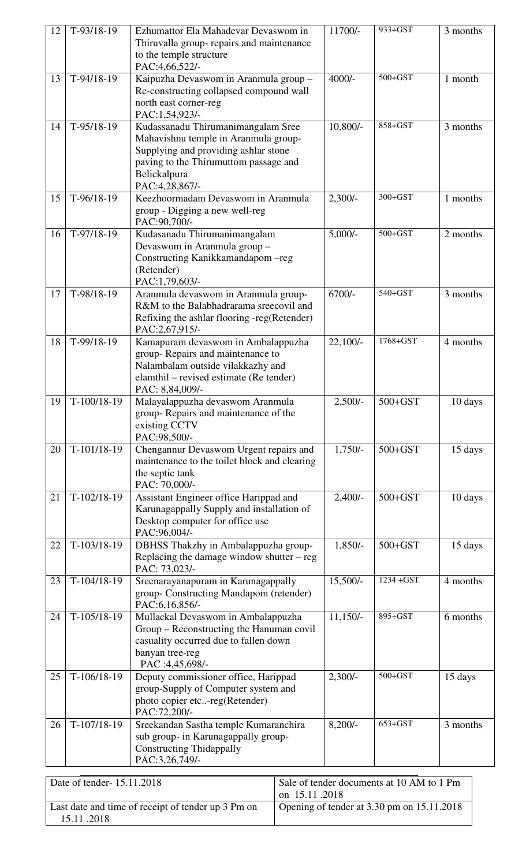| 12 | $T-93/18-19$  | Ezhumattor Ela Mahadevar Devaswom in<br>Thiruvalla group- repairs and maintenance<br>to the temple structure<br>PAC:4,66,522/-                                                                | 11700/-    | 933+GST     | 3 months |
|----|---------------|-----------------------------------------------------------------------------------------------------------------------------------------------------------------------------------------------|------------|-------------|----------|
| 13 | $T-94/18-19$  | Kaipuzha Devaswom in Aranmula group -<br>Re-constructing collapsed compound wall<br>north east corner-reg<br>PAC:1,54,923/-                                                                   | $4000/-$   | $500 + GST$ | 1 month  |
| 14 | $T-95/18-19$  | Kudassanadu Thirumanimangalam Sree<br>Mahavishnu temple in Aranmula group-<br>Supplying and providing ashlar stone<br>paving to the Thirumuttom passage and<br>Belickalpura<br>PAC:4,28,867/- | $10,800/-$ | 858+GST     | 3 months |
| 15 | $T-96/18-19$  | Keezhoormadam Devaswom in Aranmula<br>group - Digging a new well-reg<br>PAC:90,700/-                                                                                                          | $2,300/-$  | 300+GST     | 1 months |
| 16 | $T-97/18-19$  | Kudasanadu Thirumanimangalam<br>Devaswom in Aranmula group -<br>Constructing Kanikkamandapom - reg<br>(Retender)<br>PAC:1,79,603/-                                                            | $5,000/-$  | $500 + GST$ | 2 months |
| 17 | $T-98/18-19$  | Aranmula devaswom in Aranmula group-<br>R&M to the Balabhadrarama sreecovil and<br>Refixing the ashlar flooring -reg(Retender)<br>PAC:2,67,915/-                                              | $6700/-$   | $540+GST$   | 3 months |
| 18 | T-99/18-19    | Kamapuram devaswom in Ambalappuzha<br>group-Repairs and maintenance to<br>Nalambalam outside vilakkazhy and<br>elamthil – revised estimate (Re tender)<br>PAC: 8,84,009/-                     | $22,100/-$ | 1768+GST    | 4 months |
| 19 | T-100/18-19   | Malayalappuzha devaswom Aranmula<br>group-Repairs and maintenance of the<br>existing CCTV<br>PAC:98,500/-                                                                                     | $2,500/-$  | $500 + GST$ | 10 days  |
| 20 | T-101/18-19   | Chengannur Devaswom Urgent repairs and<br>maintenance to the toilet block and clearing<br>the septic tank<br>PAC: 70,000/-                                                                    | $1,750/-$  | $500 + GST$ | 15 days  |
| 21 | $T-102/18-19$ | Assistant Engineer office Harippad and<br>Karunagappally Supply and installation of<br>Desktop computer for office use<br>PAC:96,004/-                                                        | $2,400/-$  | $500 + GST$ | 10 days  |
| 22 | $T-103/18-19$ | DBHSS Thakzhy in Ambalappuzha group-<br>Replacing the damage window shutter $-$ reg<br>PAC: 73,023/-                                                                                          | $1,850/-$  | $500 + GST$ | 15 days  |
| 23 | $T-104/18-19$ | Sreenarayanapuram in Karunagappally<br>group- Constructing Mandapom (retender)<br>PAC:6,16,856/-                                                                                              | $15,500/-$ | 1234 + GST  | 4 months |
| 24 | $T-105/18-19$ | Mullackal Devaswom in Ambalappuzha<br>Group - Reconstructing the Hanuman covil<br>casuality occurred due to fallen down<br>banyan tree-reg<br>PAC :4,45,698/-                                 | $11,150/-$ | 895+GST     | 6 months |
| 25 | $T-106/18-19$ | Deputy commissioner office, Harippad<br>group-Supply of Computer system and<br>photo copier etc-reg(Retender)<br>PAC:72,200/-                                                                 | $2,300/-$  | $500 + GST$ | 15 days  |
| 26 | T-107/18-19   | Sreekandan Sastha temple Kumaranchira<br>sub group- in Karunagappally group-<br><b>Constructing Thidappally</b><br>PAC:3,26,749/-                                                             | $8,200/-$  | $653+GST$   | 3 months |

| Date of tender-15.11.2018                                        | Sale of tender documents at 10 AM to 1 Pm<br>on $15.11$ .2018 |
|------------------------------------------------------------------|---------------------------------------------------------------|
| Last date and time of receipt of tender up 3 Pm on<br>15.11.2018 | Opening of tender at 3.30 pm on 15.11.2018                    |